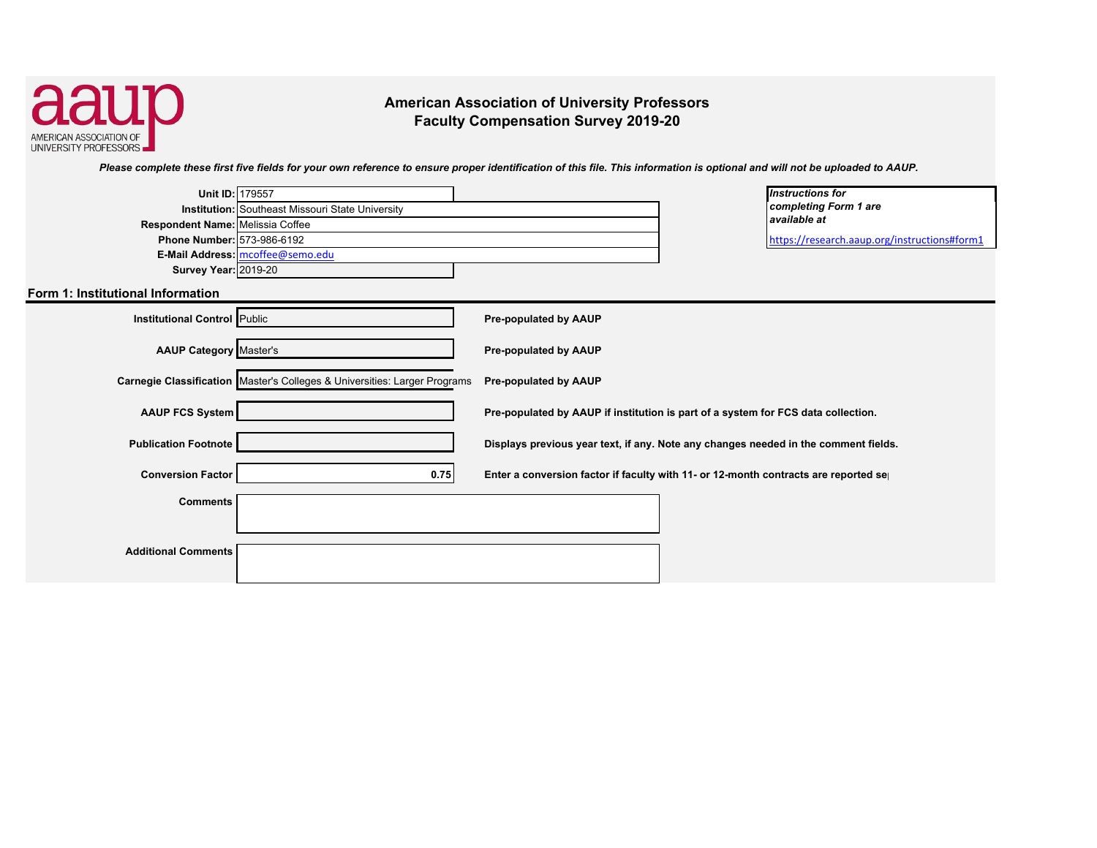

**American Association of University Professors Faculty Compensation Survey 2019-20** 

*Please complete these first five fields for your own reference to ensure proper identification of this file. This information is optional and will not be uploaded to AAUP.* 

| Unit ID: 179557                     |                                                                           | <b>Instructions for</b>                                                             |                                              |
|-------------------------------------|---------------------------------------------------------------------------|-------------------------------------------------------------------------------------|----------------------------------------------|
|                                     | <b>Institution:</b> Southeast Missouri State University                   |                                                                                     | completing Form 1 are                        |
| Respondent Name: Melissia Coffee    |                                                                           | available at                                                                        |                                              |
| Phone Number: 573-986-6192          |                                                                           |                                                                                     | https://research.aaup.org/instructions#form1 |
|                                     | E-Mail Address: mcoffee@semo.edu                                          |                                                                                     |                                              |
| <b>Survey Year: 2019-20</b>         |                                                                           |                                                                                     |                                              |
| Form 1: Institutional Information   |                                                                           |                                                                                     |                                              |
| <b>Institutional Control Public</b> |                                                                           | <b>Pre-populated by AAUP</b>                                                        |                                              |
| <b>AAUP Category Master's</b>       |                                                                           | Pre-populated by AAUP                                                               |                                              |
|                                     | Carnegie Classification Master's Colleges & Universities: Larger Programs | <b>Pre-populated by AAUP</b>                                                        |                                              |
| <b>AAUP FCS System</b>              |                                                                           | Pre-populated by AAUP if institution is part of a system for FCS data collection.   |                                              |
| <b>Publication Footnote</b>         |                                                                           | Displays previous year text, if any. Note any changes needed in the comment fields. |                                              |
| <b>Conversion Factor</b>            | 0.75                                                                      | Enter a conversion factor if faculty with 11- or 12-month contracts are reported se |                                              |
| <b>Comments</b>                     |                                                                           |                                                                                     |                                              |
| <b>Additional Comments</b>          |                                                                           |                                                                                     |                                              |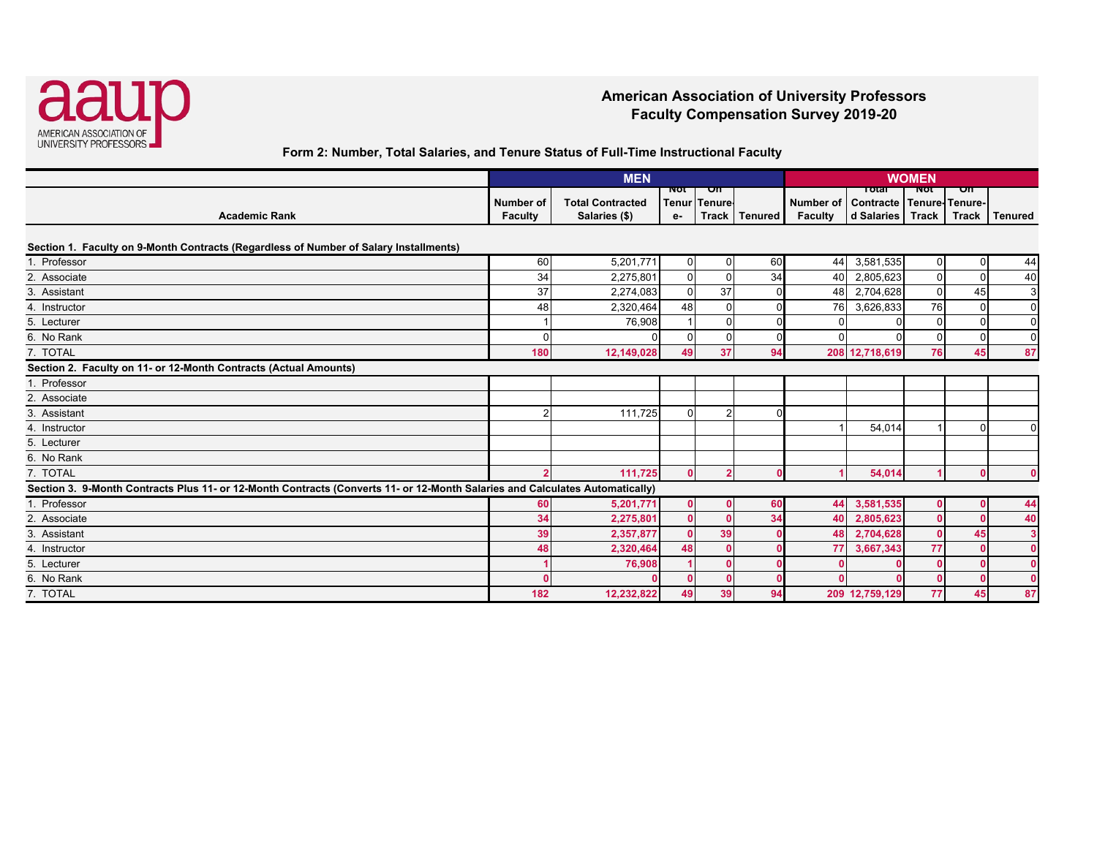

### **American Association of University Professors Faculty Compensation Survey 2019-20**

**Form 2: Number, Total Salaries, and Tenure Status of Full-Time Instructional Faculty** 

|                                                                                                                              |                      | <b>MEN</b>                               |           |                    |                 | <b>WOMEN</b>         |                                                         |                |             |                |
|------------------------------------------------------------------------------------------------------------------------------|----------------------|------------------------------------------|-----------|--------------------|-----------------|----------------------|---------------------------------------------------------|----------------|-------------|----------------|
| <b>Academic Rank</b>                                                                                                         | Number of<br>Faculty | <b>Total Contracted</b><br>Salaries (\$) | ποτ<br>e- | on<br>Tenur Tenure | Track   Tenured | Number of<br>Faculty | тота<br>Contracte   Tenure- Tenure-<br>d Salaries Track | ΝΟτ            | on<br>Track | <b>Tenured</b> |
| Section 1. Faculty on 9-Month Contracts (Regardless of Number of Salary Installments)                                        |                      |                                          |           |                    |                 |                      |                                                         |                |             |                |
| . Professor                                                                                                                  | 60                   | 5,201,771                                | $\Omega$  | U                  | 60              | 44                   | 3,581,535                                               | $\overline{0}$ | $\Omega$    | 44             |
| 2. Associate                                                                                                                 | 34                   | 2,275,801                                | $\Omega$  |                    | 34              | 40                   | 2,805,623                                               | $\Omega$       | $\mathbf 0$ | 40             |
| 3. Assistant                                                                                                                 | 37                   | 2,274,083                                | $\Omega$  | 37                 |                 | 48                   | 2,704,628                                               | 0              | 45          | 3              |
| 4. Instructor                                                                                                                | 48                   | 2,320,464                                | 48        |                    |                 | 76                   | 3,626,833                                               | 76             | $\Omega$    | $\overline{0}$ |
| 5. Lecturer                                                                                                                  |                      | 76,908                                   |           |                    |                 | $\Omega$             |                                                         | $\Omega$       | $\mathbf 0$ | $\overline{0}$ |
| 6. No Rank                                                                                                                   |                      |                                          | U         |                    |                 | $\Omega$             |                                                         |                | $\Omega$    | $\overline{0}$ |
| 7. TOTAL                                                                                                                     | 180                  | 12,149,028                               | 49        | 37                 | 94              |                      | 208 12,718,619                                          | 76             | 45          | 87             |
| Section 2. Faculty on 11- or 12-Month Contracts (Actual Amounts)                                                             |                      |                                          |           |                    |                 |                      |                                                         |                |             |                |
| 1. Professor                                                                                                                 |                      |                                          |           |                    |                 |                      |                                                         |                |             |                |
| 2. Associate                                                                                                                 |                      |                                          |           |                    |                 |                      |                                                         |                |             |                |
| 3. Assistant                                                                                                                 |                      | 111,725                                  | $\Omega$  |                    |                 |                      |                                                         |                |             |                |
| 4. Instructor                                                                                                                |                      |                                          |           |                    |                 |                      | 54,014                                                  |                | $\Omega$    | $\Omega$       |
| 5. Lecturer                                                                                                                  |                      |                                          |           |                    |                 |                      |                                                         |                |             |                |
| 6. No Rank                                                                                                                   |                      |                                          |           |                    |                 |                      |                                                         |                |             |                |
| 7. TOTAL                                                                                                                     |                      | 111,725                                  | $\Omega$  |                    |                 |                      | 54,014                                                  |                |             |                |
| Section 3. 9-Month Contracts Plus 11- or 12-Month Contracts (Converts 11- or 12-Month Salaries and Calculates Automatically) |                      |                                          |           |                    |                 |                      |                                                         |                |             |                |
| . Professor                                                                                                                  | 60                   | 5,201,771                                | n.        |                    | 60              | 44                   | 3,581,535                                               |                |             | 44             |
| 2. Associate                                                                                                                 | 34                   | 2,275,801                                |           |                    | 34              | 40                   | 2,805,623                                               |                | $\Omega$    | 40             |
| 3. Assistant                                                                                                                 | 39                   | 2,357,877                                |           | 39                 |                 | 48                   | 2,704,628                                               |                | 45          | $\mathbf{3}$   |
| 4. Instructor                                                                                                                | 48                   | 2,320,464                                | 48        |                    |                 | 77                   | 3,667,343                                               | 77             |             | $\Omega$       |
| 5. Lecturer                                                                                                                  |                      | 76,908                                   |           |                    |                 |                      |                                                         |                |             |                |
| 6. No Rank                                                                                                                   |                      |                                          |           |                    |                 | $\sqrt{2}$           |                                                         |                |             |                |
| 7. TOTAL                                                                                                                     | 182                  | 12,232,822                               | 49        | 39                 | 94              |                      | 209 12,759,129                                          | 77             | 45          | 87             |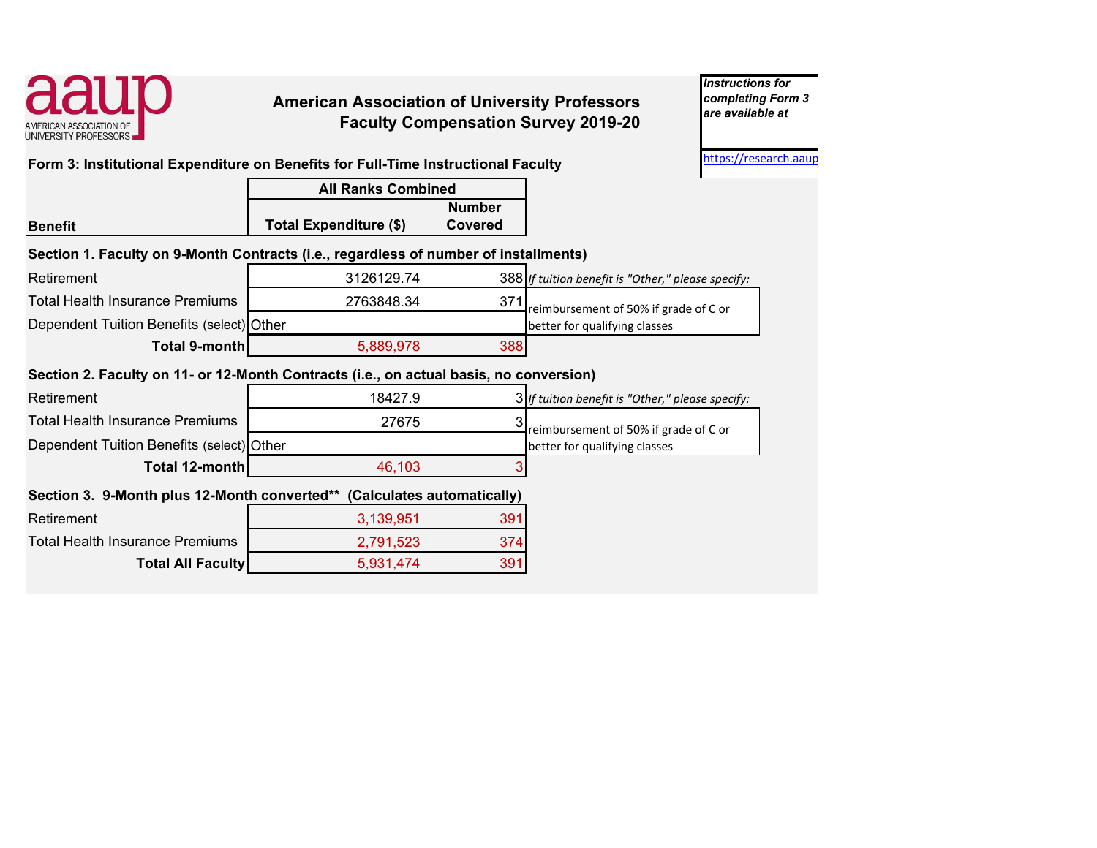

# **American Association of University Professors** *completing Form 3 are available at***Faculty Compensation Survey 2019-20**

*Instructions for* 

**Form 3: Institutional Expenditure on Benefits for Full-Time Instructional Faculty Form 3: Institutional Expenditure on Benefits for Full-Time Instructional Faculty** 

|                                                                                        | <b>All Ranks Combined</b>     |                          |                                                    |
|----------------------------------------------------------------------------------------|-------------------------------|--------------------------|----------------------------------------------------|
| <b>Benefit</b>                                                                         | <b>Total Expenditure (\$)</b> | <b>Number</b><br>Covered |                                                    |
| Section 1. Faculty on 9-Month Contracts (i.e., regardless of number of installments)   |                               |                          |                                                    |
| Retirement                                                                             | 3126129.74                    |                          | 388 If tuition benefit is "Other," please specify: |
| <b>Total Health Insurance Premiums</b>                                                 | 2763848.34                    | 371                      | reimbursement of 50% if grade of C or              |
| Dependent Tuition Benefits (select) Other                                              |                               |                          | better for qualifying classes                      |
| Total 9-month                                                                          | 5,889,978                     | 388                      |                                                    |
| Section 2. Faculty on 11- or 12-Month Contracts (i.e., on actual basis, no conversion) |                               |                          |                                                    |
| Retirement                                                                             | 18427.9                       |                          | 3 If tuition benefit is "Other," please specify:   |
| <b>Total Health Insurance Premiums</b>                                                 | 27675                         | 3                        | reimbursement of 50% if grade of C or              |
| Dependent Tuition Benefits (select) Other                                              |                               |                          | better for qualifying classes                      |
| Total 12-month                                                                         | 46,103                        |                          |                                                    |
| Section 3. 9-Month plus 12-Month converted**                                           |                               |                          |                                                    |
| Retirement                                                                             | 3,139,951                     | 391                      |                                                    |
| <b>Total Health Insurance Premiums</b>                                                 | 2,791,523                     | 374                      |                                                    |
| <b>Total All Faculty</b>                                                               | 5,931,474                     | 391                      |                                                    |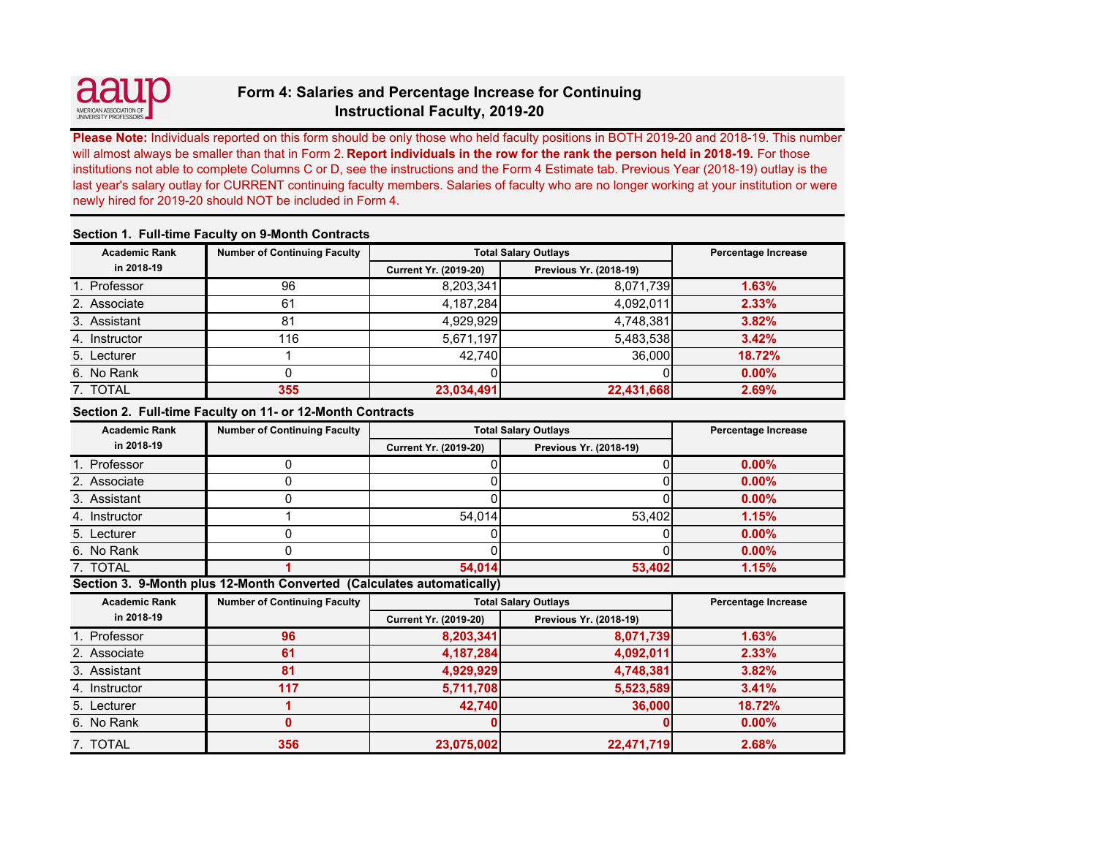

## **Form 4: Salaries and Percentage Increase for Continuing Instructional Faculty, 2019-20**

**Please Note:** Individuals reported on this form should be only those who held faculty positions in BOTH 2019-20 and 2018-19. This number will almost always be smaller than that in Form 2. **Report individuals in the row for the rank the person held in 2018-19.** For those institutions not able to complete Columns C or D, see the instructions and the Form 4 Estimate tab. Previous Year (2018-19) outlay is the last year's salary outlay for CURRENT continuing faculty members. Salaries of faculty who are no longer working at your institution or were newly hired for 2019-20 should NOT be included in Form 4.

| <u> sastisii il i mii tiilis i momiti oli o iliolitii solitimoto</u> |                                     |                              |                        |          |  |  |  |  |  |
|----------------------------------------------------------------------|-------------------------------------|------------------------------|------------------------|----------|--|--|--|--|--|
| <b>Academic Rank</b>                                                 | <b>Number of Continuing Faculty</b> | <b>Total Salary Outlays</b>  | Percentage Increase    |          |  |  |  |  |  |
| in 2018-19                                                           |                                     | <b>Current Yr. (2019-20)</b> | Previous Yr. (2018-19) |          |  |  |  |  |  |
| 1. Professor                                                         | 96                                  | 8,203,341                    | 8,071,739              | 1.63%    |  |  |  |  |  |
| 2. Associate                                                         | 61                                  | 4,187,284                    | 4,092,011              | 2.33%    |  |  |  |  |  |
| 3. Assistant                                                         | 81                                  | 4,929,929                    | 4,748,381              | 3.82%    |  |  |  |  |  |
| 4. Instructor                                                        | 116                                 | 5,671,197                    | 5,483,538              | 3.42%    |  |  |  |  |  |
| 5. Lecturer                                                          |                                     | 42.740                       | 36,000                 | 18.72%   |  |  |  |  |  |
| 6. No Rank                                                           |                                     |                              |                        | $0.00\%$ |  |  |  |  |  |
| 7. TOTAL                                                             | 355                                 | 23,034,491                   | 22,431,668             | 2.69%    |  |  |  |  |  |

### **Section 1. Full-time Faculty on 9-Month Contracts**

#### **Section 2. Full-time Faculty on 11- or 12-Month Contracts**

| <b>Academic Rank</b> | <b>Number of Continuing Faculty</b> | <b>Total Salary Outlays</b>  | Percentage Increase    |          |
|----------------------|-------------------------------------|------------------------------|------------------------|----------|
| in 2018-19           |                                     | <b>Current Yr. (2019-20)</b> | Previous Yr. (2018-19) |          |
| 1. Professor         |                                     |                              |                        | $0.00\%$ |
| 2. Associate         |                                     |                              |                        | 0.00%    |
| 3. Assistant         |                                     |                              |                        | $0.00\%$ |
| 4. Instructor        |                                     | 54.014                       | 53.402                 | 1.15%    |
| 5. Lecturer          |                                     |                              |                        | $0.00\%$ |
| 6. No Rank           |                                     |                              |                        | 0.00%    |
| 7. TOTAL             |                                     | 54,014                       | 53,402                 | 1.15%    |

**Section 3. 9-Month plus 12-Month Converted (Calculates automatically)** 

| <b>Academic Rank</b> | <b>Number of Continuing Faculty</b> | <b>Total Salary Outlays</b>  | Percentage Increase           |          |
|----------------------|-------------------------------------|------------------------------|-------------------------------|----------|
| in 2018-19           |                                     | <b>Current Yr. (2019-20)</b> | <b>Previous Yr. (2018-19)</b> |          |
| 1. Professor         | 96                                  | 8,203,341                    | 8,071,739                     | 1.63%    |
| 2. Associate         | 61                                  | 4,187,284                    | 4,092,011                     | 2.33%    |
| 3. Assistant         | 81                                  | 4,929,929                    | 4,748,381                     | 3.82%    |
| 4. Instructor        | 117                                 | 5,711,708                    | 5,523,589                     | 3.41%    |
| 5. Lecturer          |                                     | 42,740                       | 36,000                        | 18.72%   |
| 6. No Rank           |                                     |                              |                               | $0.00\%$ |
| 7. TOTAL             | 356                                 | 23,075,002                   | 22,471,719                    | 2.68%    |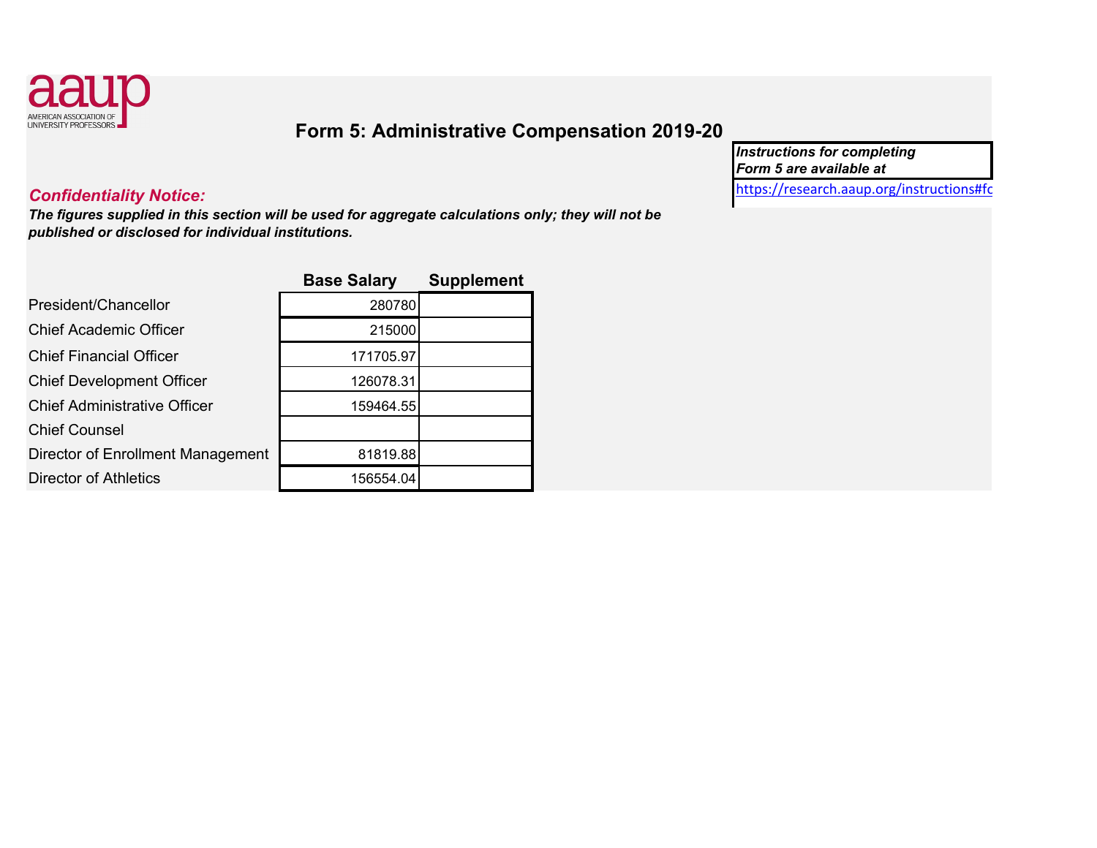

# **Form 5: Administrative Compensation 2019-20**

*Instructions for completing Form 5 are available at* 

[https://research.aaup.org/instructions#f](https://research.aaup.org/instructions#fo) o

# *Confidentiality Notice:*

*The figures supplied in this section will be used for aggre gate calculations only; the y will not be published or disclosed for individual institutions.* 

|                                     | <b>Base Salary</b> | <b>Supplement</b> |
|-------------------------------------|--------------------|-------------------|
| President/Chancellor                | 280780             |                   |
| <b>Chief Academic Officer</b>       | 215000             |                   |
| <b>Chief Financial Officer</b>      | 171705.97          |                   |
| <b>Chief Development Officer</b>    | 126078.31          |                   |
| <b>Chief Administrative Officer</b> | 159464.55          |                   |
| <b>Chief Counsel</b>                |                    |                   |
| Director of Enrollment Management   | 81819.88           |                   |
| <b>Director of Athletics</b>        | 156554.04          |                   |